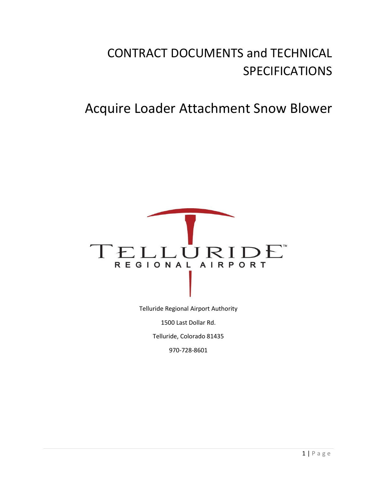# CONTRACT DOCUMENTS and TECHNICAL SPECIFICATIONS

# Acquire Loader Attachment Snow Blower



970-728-8601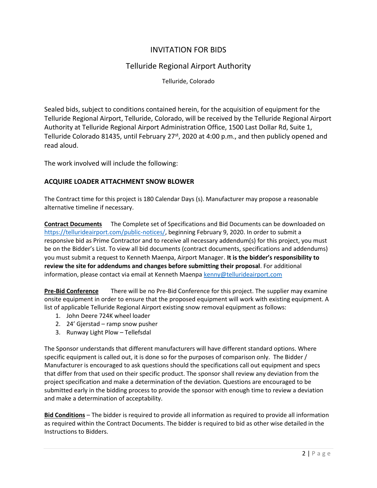## INVITATION FOR BIDS

## Telluride Regional Airport Authority

Telluride, Colorado

Sealed bids, subject to conditions contained herein, for the acquisition of equipment for the Telluride Regional Airport, Telluride, Colorado, will be received by the Telluride Regional Airport Authority at Telluride Regional Airport Administration Office, 1500 Last Dollar Rd, Suite 1, Telluride Colorado 81435, until February 27<sup>st</sup>, 2020 at 4:00 p.m., and then publicly opened and read aloud.

The work involved will include the following:

## **ACQUIRE LOADER ATTACHMENT SNOW BLOWER**

The Contract time for this project is 180 Calendar Days (s). Manufacturer may propose a reasonable alternative timeline if necessary.

**Contract Documents** The Complete set of Specifications and Bid Documents can be downloaded on [https://tellurideairport.com/public-notices/,](https://tellurideairport.com/public-notices/) beginning February 9, 2020. In order to submit a responsive bid as Prime Contractor and to receive all necessary addendum(s) for this project, you must be on the Bidder's List. To view all bid documents (contract documents, specifications and addendums) you must submit a request to Kenneth Maenpa, Airport Manager. **It is the bidder's responsibility to review the site for addendums and changes before submitting their proposal**. For additional information, please contact via email at Kenneth Maenpa [kenny@tellurideairport.com](mailto:kenny@tellurideairport.com)

**Pre-Bid Conference** There will be no Pre-Bid Conference for this project. The supplier may examine onsite equipment in order to ensure that the proposed equipment will work with existing equipment. A list of applicable Telluride Regional Airport existing snow removal equipment as follows:

- 1. John Deere 724K wheel loader
- 2. 24' Gjerstad ramp snow pusher
- 3. Runway Light Plow Tellefsdal

The Sponsor understands that different manufacturers will have different standard options. Where specific equipment is called out, it is done so for the purposes of comparison only. The Bidder / Manufacturer is encouraged to ask questions should the specifications call out equipment and specs that differ from that used on their specific product. The sponsor shall review any deviation from the project specification and make a determination of the deviation. Questions are encouraged to be submitted early in the bidding process to provide the sponsor with enough time to review a deviation and make a determination of acceptability.

**Bid Conditions** – The bidder is required to provide all information as required to provide all information as required within the Contract Documents. The bidder is required to bid as other wise detailed in the Instructions to Bidders.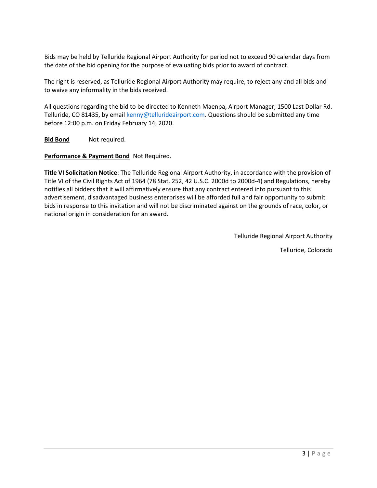Bids may be held by Telluride Regional Airport Authority for period not to exceed 90 calendar days from the date of the bid opening for the purpose of evaluating bids prior to award of contract.

The right is reserved, as Telluride Regional Airport Authority may require, to reject any and all bids and to waive any informality in the bids received.

All questions regarding the bid to be directed to Kenneth Maenpa, Airport Manager, 1500 Last Dollar Rd. Telluride, CO 81435, by emai[l kenny@tellurideairport.com.](mailto:kenny@tellurideairport.com) Questions should be submitted any time before 12:00 p.m. on Friday February 14, 2020.

**Bid Bond** Not required.

**Performance & Payment Bond** Not Required.

**Title VI Solicitation Notice**: The Telluride Regional Airport Authority, in accordance with the provision of Title VI of the Civil Rights Act of 1964 (78 Stat. 252, 42 U.S.C. 2000d to 2000d-4) and Regulations, hereby notifies all bidders that it will affirmatively ensure that any contract entered into pursuant to this advertisement, disadvantaged business enterprises will be afforded full and fair opportunity to submit bids in response to this invitation and will not be discriminated against on the grounds of race, color, or national origin in consideration for an award.

Telluride Regional Airport Authority

Telluride, Colorado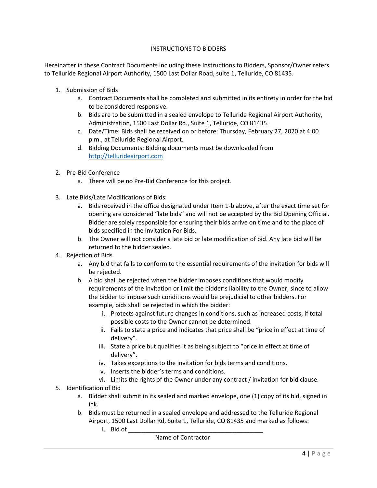#### INSTRUCTIONS TO BIDDERS

Hereinafter in these Contract Documents including these Instructions to Bidders, Sponsor/Owner refers to Telluride Regional Airport Authority, 1500 Last Dollar Road, suite 1, Telluride, CO 81435.

- 1. Submission of Bids
	- a. Contract Documents shall be completed and submitted in its entirety in order for the bid to be considered responsive.
	- b. Bids are to be submitted in a sealed envelope to Telluride Regional Airport Authority, Administration, 1500 Last Dollar Rd., Suite 1, Telluride, CO 81435.
	- c. Date/Time: Bids shall be received on or before: Thursday, February 27, 2020 at 4:00 p.m., at Telluride Regional Airport.
	- d. Bidding Documents: Bidding documents must be downloaded from [http://tellurideairport.com](http://tellurideairport.com/)
- 2. Pre-Bid Conference
	- a. There will be no Pre-Bid Conference for this project.
- 3. Late Bids/Late Modifications of Bids:
	- a. Bids received in the office designated under Item 1-b above, after the exact time set for opening are considered "late bids" and will not be accepted by the Bid Opening Official. Bidder are solely responsible for ensuring their bids arrive on time and to the place of bids specified in the Invitation For Bids.
	- b. The Owner will not consider a late bid or late modification of bid. Any late bid will be returned to the bidder sealed.
- 4. Rejection of Bids
	- a. Any bid that fails to conform to the essential requirements of the invitation for bids will be rejected.
	- b. A bid shall be rejected when the bidder imposes conditions that would modify requirements of the invitation or limit the bidder's liability to the Owner, since to allow the bidder to impose such conditions would be prejudicial to other bidders. For example, bids shall be rejected in which the bidder:
		- i. Protects against future changes in conditions, such as increased costs, if total possible costs to the Owner cannot be determined.
		- ii. Fails to state a price and indicates that price shall be "price in effect at time of delivery".
		- iii. State a price but qualifies it as being subject to "price in effect at time of delivery".
		- iv. Takes exceptions to the invitation for bids terms and conditions.
		- v. Inserts the bidder's terms and conditions.
		- vi. Limits the rights of the Owner under any contract / invitation for bid clause.
- 5. Identification of Bid
	- a. Bidder shall submit in its sealed and marked envelope, one (1) copy of its bid, signed in ink.
	- b. Bids must be returned in a sealed envelope and addressed to the Telluride Regional Airport, 1500 Last Dollar Rd, Suite 1, Telluride, CO 81435 and marked as follows:
		- i. Bid of

Name of Contractor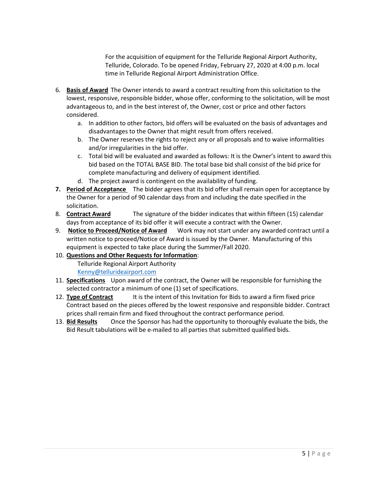For the acquisition of equipment for the Telluride Regional Airport Authority, Telluride, Colorado. To be opened Friday, February 27, 2020 at 4:00 p.m. local time in Telluride Regional Airport Administration Office.

- 6. **Basis of Award** The Owner intends to award a contract resulting from this solicitation to the lowest, responsive, responsible bidder, whose offer, conforming to the solicitation, will be most advantageous to, and in the best interest of, the Owner, cost or price and other factors considered.
	- a. In addition to other factors, bid offers will be evaluated on the basis of advantages and disadvantages to the Owner that might result from offers received.
	- b. The Owner reserves the rights to reject any or all proposals and to waive informalities and/or irregularities in the bid offer.
	- c. Total bid will be evaluated and awarded as follows: It is the Owner's intent to award this bid based on the TOTAL BASE BID. The total base bid shall consist of the bid price for complete manufacturing and delivery of equipment identified.
	- d. The project award is contingent on the availability of funding.
- **7. Period of Acceptance** The bidder agrees that its bid offer shall remain open for acceptance by the Owner for a period of 90 calendar days from and including the date specified in the solicitation.
- 8. **Contract Award** The signature of the bidder indicates that within fifteen (15) calendar days from acceptance of its bid offer it will execute a contract with the Owner.
- 9. **Notice to Proceed/Notice of Award** Work may not start under any awarded contract until a written notice to proceed/Notice of Award is issued by the Owner. Manufacturing of this equipment is expected to take place during the Summer/Fall 2020.
- 10. **Questions and Other Requests for Information**: Telluride Regional Airport Authority [Kenny@tellurideairport.com](mailto:Kenny@tellurideairport.com)
- 11. **Specifications** Upon award of the contract, the Owner will be responsible for furnishing the selected contractor a minimum of one (1) set of specifications.
- 12. **Type of Contract** It is the intent of this Invitation for Bids to award a firm fixed price Contract based on the pieces offered by the lowest responsive and responsible bidder. Contract prices shall remain firm and fixed throughout the contract performance period.
- 13. **Bid Results** Once the Sponsor has had the opportunity to thoroughly evaluate the bids, the Bid Result tabulations will be e-mailed to all parties that submitted qualified bids.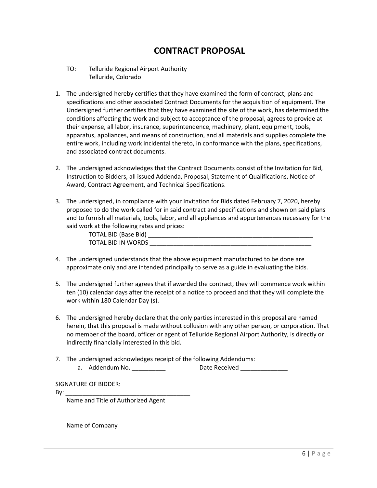# **CONTRACT PROPOSAL**

- TO: Telluride Regional Airport Authority Telluride, Colorado
- 1. The undersigned hereby certifies that they have examined the form of contract, plans and specifications and other associated Contract Documents for the acquisition of equipment. The Undersigned further certifies that they have examined the site of the work, has determined the conditions affecting the work and subject to acceptance of the proposal, agrees to provide at their expense, all labor, insurance, superintendence, machinery, plant, equipment, tools, apparatus, appliances, and means of construction, and all materials and supplies complete the entire work, including work incidental thereto, in conformance with the plans, specifications, and associated contract documents.
- 2. The undersigned acknowledges that the Contract Documents consist of the Invitation for Bid, Instruction to Bidders, all issued Addenda, Proposal, Statement of Qualifications, Notice of Award, Contract Agreement, and Technical Specifications.
- 3. The undersigned, in compliance with your Invitation for Bids dated February 7, 2020, hereby proposed to do the work called for in said contract and specifications and shown on said plans and to furnish all materials, tools, labor, and all appliances and appurtenances necessary for the said work at the following rates and prices:

| <b>TOTAL BID (Base Bid)</b> |  |
|-----------------------------|--|
| TOTAL BID IN WORDS          |  |

- 4. The undersigned understands that the above equipment manufactured to be done are approximate only and are intended principally to serve as a guide in evaluating the bids.
- 5. The undersigned further agrees that if awarded the contract, they will commence work within ten (10) calendar days after the receipt of a notice to proceed and that they will complete the work within 180 Calendar Day (s).
- 6. The undersigned hereby declare that the only parties interested in this proposal are named herein, that this proposal is made without collusion with any other person, or corporation. That no member of the board, officer or agent of Telluride Regional Airport Authority, is directly or indirectly financially interested in this bid.
- 7. The undersigned acknowledges receipt of the following Addendums:

a. Addendum No. \_\_\_\_\_\_\_\_\_\_\_\_\_ Date Received \_\_\_\_\_\_\_\_\_\_\_\_\_\_\_

SIGNATURE OF BIDDER:

By: \_\_\_\_\_\_\_\_\_\_\_\_\_\_\_\_\_\_\_\_\_\_\_\_\_\_\_\_\_\_\_\_\_\_\_\_\_

Name and Title of Authorized Agent

\_\_\_\_\_\_\_\_\_\_\_\_\_\_\_\_\_\_\_\_\_\_\_\_\_\_\_\_\_\_\_\_\_\_\_\_\_

Name of Company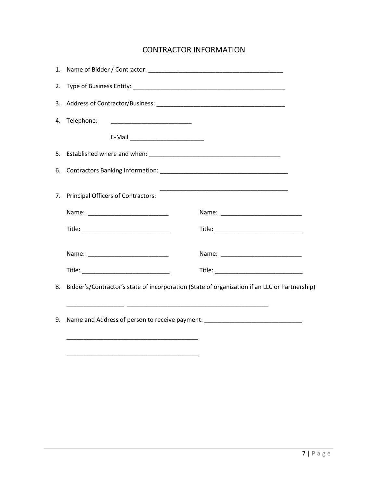# CONTRACTOR INFORMATION

|    | 4. Telephone:<br><u> 2002 - Johann Stoff, deutscher Stoffen und der Stoffen und der Stoffen und der Stoffen und der Stoffen und der Stoffen und der Stoffen und der Stoffen und der Stoffen und der Stoffen und der Stoffen und der Stoffen und d</u> |                                                                                                                      |  |  |  |
|----|-------------------------------------------------------------------------------------------------------------------------------------------------------------------------------------------------------------------------------------------------------|----------------------------------------------------------------------------------------------------------------------|--|--|--|
|    | E-Mail ____________________________                                                                                                                                                                                                                   |                                                                                                                      |  |  |  |
|    |                                                                                                                                                                                                                                                       |                                                                                                                      |  |  |  |
|    |                                                                                                                                                                                                                                                       |                                                                                                                      |  |  |  |
|    | 7. Principal Officers of Contractors:                                                                                                                                                                                                                 | <u> 1980 - Jan James James Jan James James James James James James James James James James James James James Jam</u> |  |  |  |
|    |                                                                                                                                                                                                                                                       |                                                                                                                      |  |  |  |
|    |                                                                                                                                                                                                                                                       |                                                                                                                      |  |  |  |
|    |                                                                                                                                                                                                                                                       |                                                                                                                      |  |  |  |
|    |                                                                                                                                                                                                                                                       |                                                                                                                      |  |  |  |
| 8. | Bidder's/Contractor's state of incorporation (State of organization if an LLC or Partnership)                                                                                                                                                         |                                                                                                                      |  |  |  |
|    |                                                                                                                                                                                                                                                       |                                                                                                                      |  |  |  |
| 9. | Name and Address of person to receive payment: _________________________________                                                                                                                                                                      |                                                                                                                      |  |  |  |
|    | <u> 1989 - Johann John Stein, markin film yn y system yn y system yn y system yn y system yn y system yn y system</u>                                                                                                                                 |                                                                                                                      |  |  |  |
|    |                                                                                                                                                                                                                                                       |                                                                                                                      |  |  |  |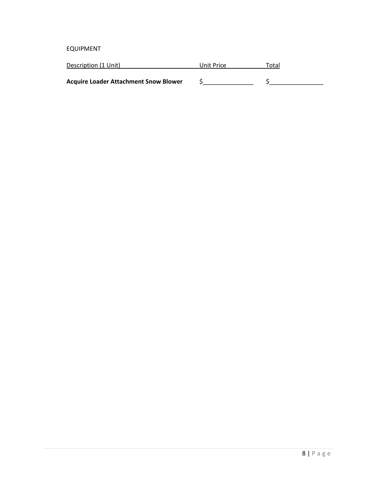EQUIPMENT

| Description (1 Unit)                         | Unit Price | Total |
|----------------------------------------------|------------|-------|
|                                              |            |       |
| <b>Acquire Loader Attachment Snow Blower</b> |            |       |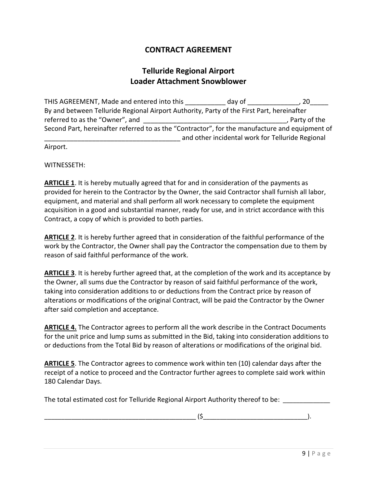# **CONTRACT AGREEMENT**

# **Telluride Regional Airport Loader Attachment Snowblower**

THIS AGREEMENT, Made and entered into this day of the same control of the set of the set of the set of the set o By and between Telluride Regional Airport Authority, Party of the First Part, hereinafter referred to as the "Owner", and \_\_\_\_\_\_\_\_\_\_\_\_\_\_\_\_\_\_\_\_\_\_\_\_\_\_\_\_\_\_\_\_\_\_\_\_\_\_\_, Party of the Second Part, hereinafter referred to as the "Contractor", for the manufacture and equipment of \_\_\_\_\_\_\_\_\_\_\_\_\_\_\_\_\_\_\_\_\_\_\_\_\_\_\_\_\_\_\_\_\_\_\_\_\_ and other incidental work for Telluride Regional Airport.

WITNESSETH:

**ARTICLE 1.** It is hereby mutually agreed that for and in consideration of the payments as provided for herein to the Contractor by the Owner, the said Contractor shall furnish all labor, equipment, and material and shall perform all work necessary to complete the equipment acquisition in a good and substantial manner, ready for use, and in strict accordance with this Contract, a copy of which is provided to both parties.

**ARTICLE 2**. It is hereby further agreed that in consideration of the faithful performance of the work by the Contractor, the Owner shall pay the Contractor the compensation due to them by reason of said faithful performance of the work.

**ARTICLE 3**. It is hereby further agreed that, at the completion of the work and its acceptance by the Owner, all sums due the Contractor by reason of said faithful performance of the work, taking into consideration additions to or deductions from the Contract price by reason of alterations or modifications of the original Contract, will be paid the Contractor by the Owner after said completion and acceptance.

**ARTICLE 4.** The Contractor agrees to perform all the work describe in the Contract Documents for the unit price and lump sums as submitted in the Bid, taking into consideration additions to or deductions from the Total Bid by reason of alterations or modifications of the original bid.

**ARTICLE 5**. The Contractor agrees to commence work within ten (10) calendar days after the receipt of a notice to proceed and the Contractor further agrees to complete said work within 180 Calendar Days.

The total estimated cost for Telluride Regional Airport Authority thereof to be: \_\_\_\_\_\_\_\_\_\_\_

\_\_\_\_\_\_\_\_\_\_\_\_\_\_\_\_\_\_\_\_\_\_\_\_\_\_\_\_\_\_\_\_\_\_\_\_\_\_\_\_\_\_\_\_\_ (\$\_\_\_\_\_\_\_\_\_\_\_\_\_\_\_\_\_\_\_\_\_\_\_\_\_\_\_\_\_\_\_).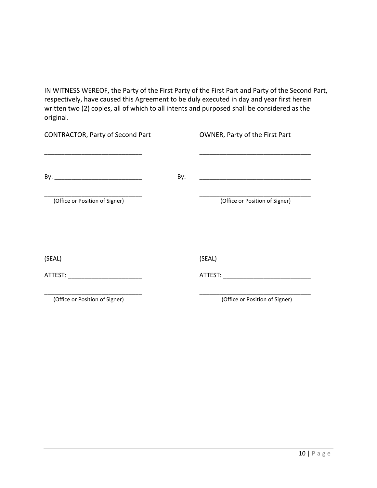IN WITNESS WEREOF, the Party of the First Party of the First Part and Party of the Second Part, respectively, have caused this Agreement to be duly executed in day and year first herein written two (2) copies, all of which to all intents and purposed shall be considered as the original.

| <b>CONTRACTOR, Party of Second Part</b> |     | OWNER, Party of the First Part |
|-----------------------------------------|-----|--------------------------------|
|                                         | By: |                                |
| (Office or Position of Signer)          |     | (Office or Position of Signer) |
| (SEAL)                                  |     | (SEAL)                         |
| ATTEST: ATTEST:                         |     | ATTEST: ATTESS                 |
| (Office or Position of Signer)          |     | (Office or Position of Signer) |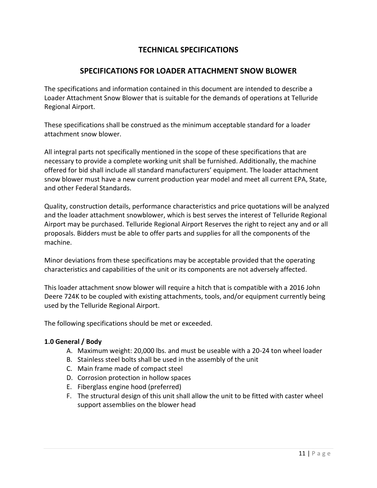# **TECHNICAL SPECIFICATIONS**

## **SPECIFICATIONS FOR LOADER ATTACHMENT SNOW BLOWER**

The specifications and information contained in this document are intended to describe a Loader Attachment Snow Blower that is suitable for the demands of operations at Telluride Regional Airport.

These specifications shall be construed as the minimum acceptable standard for a loader attachment snow blower.

All integral parts not specifically mentioned in the scope of these specifications that are necessary to provide a complete working unit shall be furnished. Additionally, the machine offered for bid shall include all standard manufacturers' equipment. The loader attachment snow blower must have a new current production year model and meet all current EPA, State, and other Federal Standards.

Quality, construction details, performance characteristics and price quotations will be analyzed and the loader attachment snowblower, which is best serves the interest of Telluride Regional Airport may be purchased. Telluride Regional Airport Reserves the right to reject any and or all proposals. Bidders must be able to offer parts and supplies for all the components of the machine.

Minor deviations from these specifications may be acceptable provided that the operating characteristics and capabilities of the unit or its components are not adversely affected.

This loader attachment snow blower will require a hitch that is compatible with a 2016 John Deere 724K to be coupled with existing attachments, tools, and/or equipment currently being used by the Telluride Regional Airport.

The following specifications should be met or exceeded.

## **1.0 General / Body**

- A. Maximum weight: 20,000 lbs. and must be useable with a 20-24 ton wheel loader
- B. Stainless steel bolts shall be used in the assembly of the unit
- C. Main frame made of compact steel
- D. Corrosion protection in hollow spaces
- E. Fiberglass engine hood (preferred)
- F. The structural design of this unit shall allow the unit to be fitted with caster wheel support assemblies on the blower head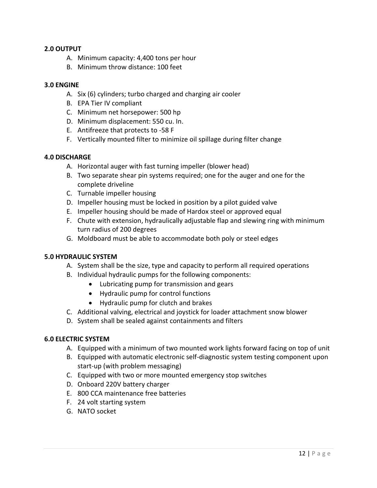### **2.0 OUTPUT**

- A. Minimum capacity: 4,400 tons per hour
- B. Minimum throw distance: 100 feet

#### **3.0 ENGINE**

- A. Six (6) cylinders; turbo charged and charging air cooler
- B. EPA Tier IV compliant
- C. Minimum net horsepower: 500 hp
- D. Minimum displacement: 550 cu. In.
- E. Antifreeze that protects to -58 F
- F. Vertically mounted filter to minimize oil spillage during filter change

#### **4.0 DISCHARGE**

- A. Horizontal auger with fast turning impeller (blower head)
- B. Two separate shear pin systems required; one for the auger and one for the complete driveline
- C. Turnable impeller housing
- D. Impeller housing must be locked in position by a pilot guided valve
- E. Impeller housing should be made of Hardox steel or approved equal
- F. Chute with extension, hydraulically adjustable flap and slewing ring with minimum turn radius of 200 degrees
- G. Moldboard must be able to accommodate both poly or steel edges

#### **5.0 HYDRAULIC SYSTEM**

- A. System shall be the size, type and capacity to perform all required operations
- B. Individual hydraulic pumps for the following components:
	- Lubricating pump for transmission and gears
	- Hydraulic pump for control functions
	- Hydraulic pump for clutch and brakes
- C. Additional valving, electrical and joystick for loader attachment snow blower
- D. System shall be sealed against containments and filters

#### **6.0 ELECTRIC SYSTEM**

- A. Equipped with a minimum of two mounted work lights forward facing on top of unit
- B. Equipped with automatic electronic self-diagnostic system testing component upon start-up (with problem messaging)
- C. Equipped with two or more mounted emergency stop switches
- D. Onboard 220V battery charger
- E. 800 CCA maintenance free batteries
- F. 24 volt starting system
- G. NATO socket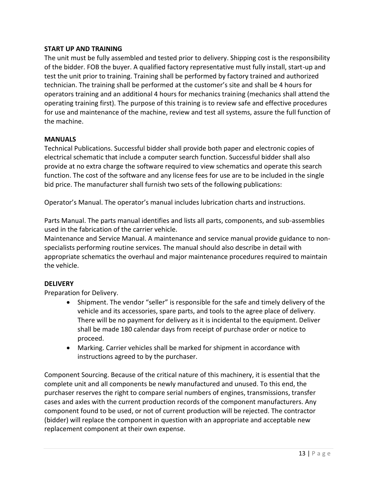### **START UP AND TRAINING**

The unit must be fully assembled and tested prior to delivery. Shipping cost is the responsibility of the bidder. FOB the buyer. A qualified factory representative must fully install, start-up and test the unit prior to training. Training shall be performed by factory trained and authorized technician. The training shall be performed at the customer's site and shall be 4 hours for operators training and an additional 4 hours for mechanics training (mechanics shall attend the operating training first). The purpose of this training is to review safe and effective procedures for use and maintenance of the machine, review and test all systems, assure the full function of the machine.

#### **MANUALS**

Technical Publications. Successful bidder shall provide both paper and electronic copies of electrical schematic that include a computer search function. Successful bidder shall also provide at no extra charge the software required to view schematics and operate this search function. The cost of the software and any license fees for use are to be included in the single bid price. The manufacturer shall furnish two sets of the following publications:

Operator's Manual. The operator's manual includes lubrication charts and instructions.

Parts Manual. The parts manual identifies and lists all parts, components, and sub-assemblies used in the fabrication of the carrier vehicle.

Maintenance and Service Manual. A maintenance and service manual provide guidance to nonspecialists performing routine services. The manual should also describe in detail with appropriate schematics the overhaul and major maintenance procedures required to maintain the vehicle.

## **DELIVERY**

Preparation for Delivery.

- Shipment. The vendor "seller" is responsible for the safe and timely delivery of the vehicle and its accessories, spare parts, and tools to the agree place of delivery. There will be no payment for delivery as it is incidental to the equipment. Deliver shall be made 180 calendar days from receipt of purchase order or notice to proceed.
- Marking. Carrier vehicles shall be marked for shipment in accordance with instructions agreed to by the purchaser.

Component Sourcing. Because of the critical nature of this machinery, it is essential that the complete unit and all components be newly manufactured and unused. To this end, the purchaser reserves the right to compare serial numbers of engines, transmissions, transfer cases and axles with the current production records of the component manufacturers. Any component found to be used, or not of current production will be rejected. The contractor (bidder) will replace the component in question with an appropriate and acceptable new replacement component at their own expense.